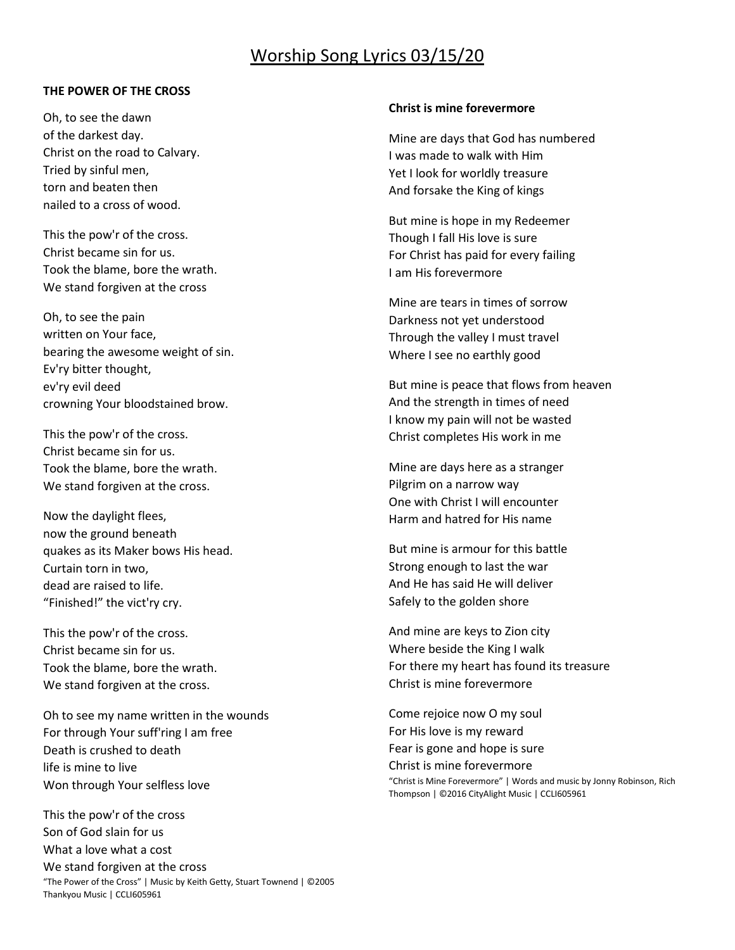## Worship Song Lyrics 03/15/20

#### **THE POWER OF THE CROSS**

Oh, to see the dawn of the darkest day. Christ on the road to Calvary. Tried by sinful men, torn and beaten then nailed to a cross of wood.

This the pow'r of the cross. Christ became sin for us. Took the blame, bore the wrath. We stand forgiven at the cross

Oh, to see the pain written on Your face, bearing the awesome weight of sin. Ev'ry bitter thought, ev'ry evil deed crowning Your bloodstained brow.

This the pow'r of the cross. Christ became sin for us. Took the blame, bore the wrath. We stand forgiven at the cross.

Now the daylight flees, now the ground beneath quakes as its Maker bows His head. Curtain torn in two, dead are raised to life. "Finished!" the vict'ry cry.

This the pow'r of the cross. Christ became sin for us. Took the blame, bore the wrath. We stand forgiven at the cross.

Oh to see my name written in the wounds For through Your suff'ring I am free Death is crushed to death life is mine to live Won through Your selfless love

This the pow'r of the cross Son of God slain for us What a love what a cost We stand forgiven at the cross "The Power of the Cross" | Music by Keith Getty, Stuart Townend | ©2005 Thankyou Music | CCLI605961

#### **Christ is mine forevermore**

Mine are days that God has numbered I was made to walk with Him Yet I look for worldly treasure And forsake the King of kings

But mine is hope in my Redeemer Though I fall His love is sure For Christ has paid for every failing I am His forevermore

Mine are tears in times of sorrow Darkness not yet understood Through the valley I must travel Where I see no earthly good

But mine is peace that flows from heaven And the strength in times of need I know my pain will not be wasted Christ completes His work in me

Mine are days here as a stranger Pilgrim on a narrow way One with Christ I will encounter Harm and hatred for His name

But mine is armour for this battle Strong enough to last the war And He has said He will deliver Safely to the golden shore

And mine are keys to Zion city Where beside the King I walk For there my heart has found its treasure Christ is mine forevermore

Come rejoice now O my soul For His love is my reward Fear is gone and hope is sure Christ is mine forevermore "Christ is Mine Forevermore" | Words and music by Jonny Robinson, Rich Thompson | ©2016 CityAlight Music | CCLI605961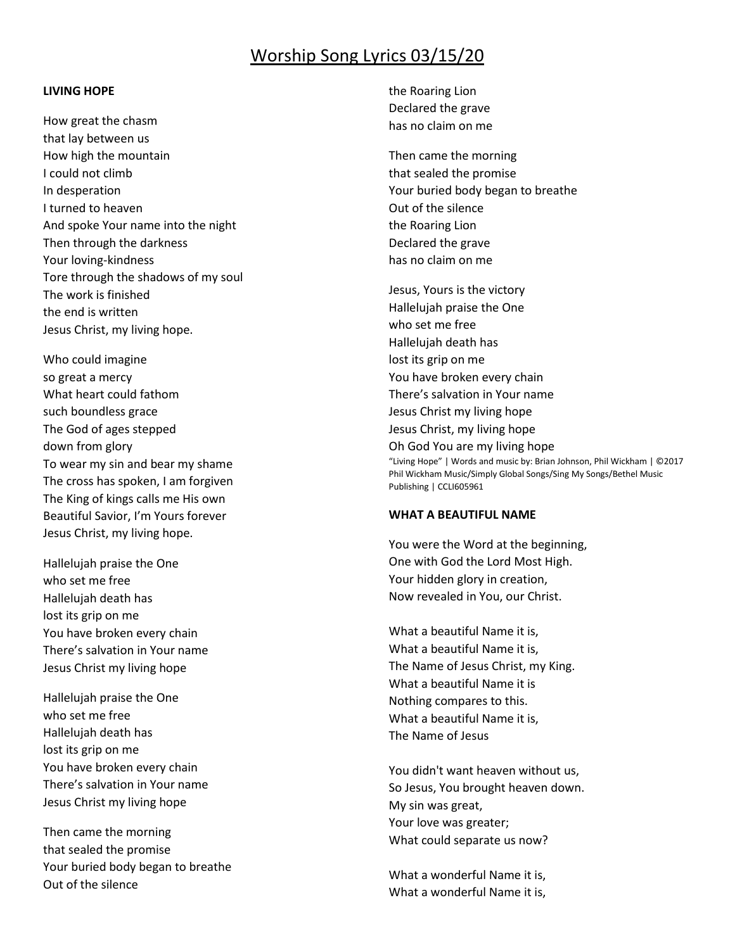### Worship Song Lyrics 03/15/20

#### **LIVING HOPE**

How great the chasm that lay between us How high the mountain I could not climb In desperation I turned to heaven And spoke Your name into the night Then through the darkness Your loving-kindness Tore through the shadows of my soul The work is finished the end is written Jesus Christ, my living hope.

Who could imagine so great a mercy What heart could fathom such boundless grace The God of ages stepped down from glory To wear my sin and bear my shame The cross has spoken, I am forgiven The King of kings calls me His own Beautiful Savior, I'm Yours forever Jesus Christ, my living hope.

Hallelujah praise the One who set me free Hallelujah death has lost its grip on me You have broken every chain There's salvation in Your name Jesus Christ my living hope

Hallelujah praise the One who set me free Hallelujah death has lost its grip on me You have broken every chain There's salvation in Your name Jesus Christ my living hope

Then came the morning that sealed the promise Your buried body began to breathe Out of the silence

the Roaring Lion Declared the grave has no claim on me

Then came the morning that sealed the promise Your buried body began to breathe Out of the silence the Roaring Lion Declared the grave has no claim on me

Jesus, Yours is the victory Hallelujah praise the One who set me free Hallelujah death has lost its grip on me You have broken every chain There's salvation in Your name Jesus Christ my living hope Jesus Christ, my living hope Oh God You are my living hope "Living Hope" | Words and music by: Brian Johnson, Phil Wickham | ©2017 Phil Wickham Music/Simply Global Songs/Sing My Songs/Bethel Music Publishing | CCLI605961

#### **WHAT A BEAUTIFUL NAME**

You were the Word at the beginning, One with God the Lord Most High. Your hidden glory in creation, Now revealed in You, our Christ.

What a beautiful Name it is, What a beautiful Name it is, The Name of Jesus Christ, my King. What a beautiful Name it is Nothing compares to this. What a beautiful Name it is, The Name of Jesus

You didn't want heaven without us, So Jesus, You brought heaven down. My sin was great, Your love was greater; What could separate us now?

What a wonderful Name it is, What a wonderful Name it is,